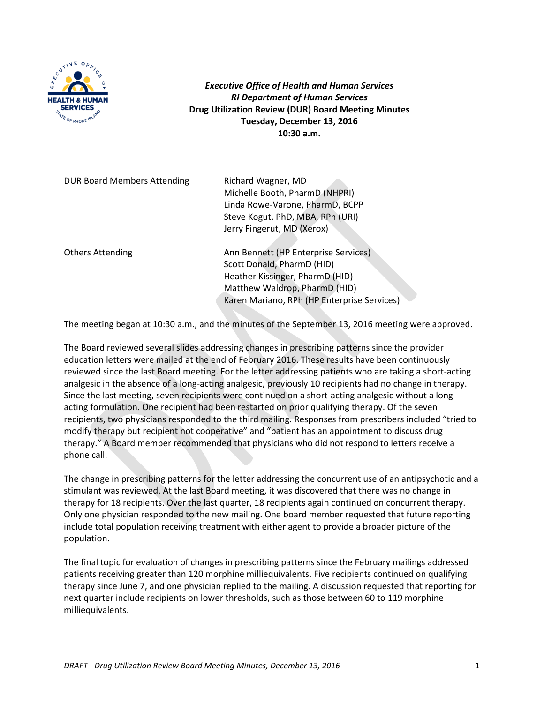

*Executive Office of Health and Human Services RI Department of Human Services* **Drug Utilization Review (DUR) Board Meeting Minutes Tuesday, December 13, 2016 10:30 a.m.**

| <b>DUR Board Members Attending</b> | Richard Wagner, MD<br>Michelle Booth, PharmD (NHPRI)<br>Linda Rowe-Varone, PharmD, BCPP<br>Steve Kogut, PhD, MBA, RPh (URI)<br>Jerry Fingerut, MD (Xerox)                             |
|------------------------------------|---------------------------------------------------------------------------------------------------------------------------------------------------------------------------------------|
| <b>Others Attending</b>            | Ann Bennett (HP Enterprise Services)<br>Scott Donald, PharmD (HID)<br>Heather Kissinger, PharmD (HID)<br>Matthew Waldrop, PharmD (HID)<br>Karen Mariano, RPh (HP Enterprise Services) |

The meeting began at 10:30 a.m., and the minutes of the September 13, 2016 meeting were approved.

The Board reviewed several slides addressing changes in prescribing patterns since the provider education letters were mailed at the end of February 2016. These results have been continuously reviewed since the last Board meeting. For the letter addressing patients who are taking a short-acting analgesic in the absence of a long-acting analgesic, previously 10 recipients had no change in therapy. Since the last meeting, seven recipients were continued on a short-acting analgesic without a longacting formulation. One recipient had been restarted on prior qualifying therapy. Of the seven recipients, two physicians responded to the third mailing. Responses from prescribers included "tried to modify therapy but recipient not cooperative" and "patient has an appointment to discuss drug therapy." A Board member recommended that physicians who did not respond to letters receive a phone call.

The change in prescribing patterns for the letter addressing the concurrent use of an antipsychotic and a stimulant was reviewed. At the last Board meeting, it was discovered that there was no change in therapy for 18 recipients. Over the last quarter, 18 recipients again continued on concurrent therapy. Only one physician responded to the new mailing. One board member requested that future reporting include total population receiving treatment with either agent to provide a broader picture of the population.

The final topic for evaluation of changes in prescribing patterns since the February mailings addressed patients receiving greater than 120 morphine milliequivalents. Five recipients continued on qualifying therapy since June 7, and one physician replied to the mailing. A discussion requested that reporting for next quarter include recipients on lower thresholds, such as those between 60 to 119 morphine milliequivalents.